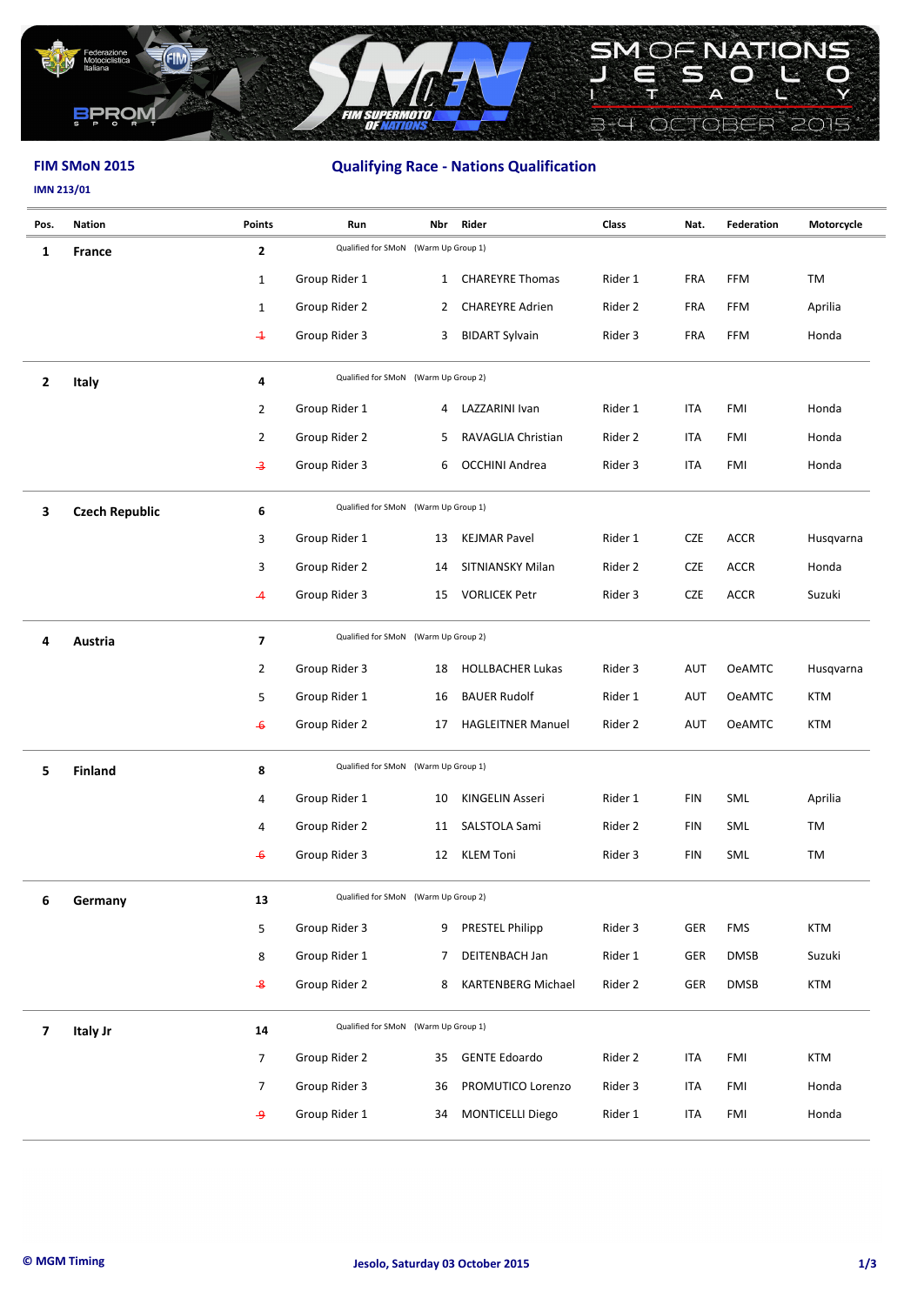

# **FIM SMoN 2015 Qualifying Race - Nations Qualification**

## **IMN 213/01**

| Pos.                    | <b>Nation</b>         | <b>Points</b>           | Run                                  | Nbr          | Rider                     | Class   | Nat.       | <b>Federation</b> | Motorcycle |
|-------------------------|-----------------------|-------------------------|--------------------------------------|--------------|---------------------------|---------|------------|-------------------|------------|
| 1                       | <b>France</b>         | $\overline{2}$          | Qualified for SMoN (Warm Up Group 1) |              |                           |         |            |                   |            |
|                         |                       | $\mathbf{1}$            | Group Rider 1                        | $\mathbf{1}$ | <b>CHAREYRE Thomas</b>    | Rider 1 | FRA        | <b>FFM</b>        | TM         |
|                         |                       | $\mathbf{1}$            | Group Rider 2                        | $\mathbf{2}$ | <b>CHAREYRE Adrien</b>    | Rider 2 | <b>FRA</b> | <b>FFM</b>        | Aprilia    |
|                         |                       | $\div$                  | Group Rider 3                        | 3            | <b>BIDART Sylvain</b>     | Rider 3 | FRA        | <b>FFM</b>        | Honda      |
| $\overline{2}$          | <b>Italy</b>          | 4                       | Qualified for SMoN (Warm Up Group 2) |              |                           |         |            |                   |            |
|                         |                       | 2                       | Group Rider 1                        | 4            | LAZZARINI Ivan            | Rider 1 | ITA        | FMI               | Honda      |
|                         |                       | 2                       | Group Rider 2                        | 5            | RAVAGLIA Christian        | Rider 2 | ITA        | FMI               | Honda      |
|                         |                       | $\overline{\mathbf{3}}$ | Group Rider 3                        | 6            | <b>OCCHINI Andrea</b>     | Rider 3 | <b>ITA</b> | FMI               | Honda      |
| 3                       | <b>Czech Republic</b> | 6                       | Qualified for SMoN (Warm Up Group 1) |              |                           |         |            |                   |            |
|                         |                       | 3                       | Group Rider 1                        | 13           | <b>KEJMAR Pavel</b>       | Rider 1 | CZE        | <b>ACCR</b>       | Husqvarna  |
|                         |                       | 3                       | Group Rider 2                        | 14           | SITNIANSKY Milan          | Rider 2 | CZE        | <b>ACCR</b>       | Honda      |
|                         |                       | -4                      | Group Rider 3                        | 15           | <b>VORLICEK Petr</b>      | Rider 3 | CZE        | <b>ACCR</b>       | Suzuki     |
| 4                       | Austria               | $\overline{\mathbf{z}}$ | Qualified for SMoN (Warm Up Group 2) |              |                           |         |            |                   |            |
|                         |                       | $\overline{2}$          | Group Rider 3                        | 18           | <b>HOLLBACHER Lukas</b>   | Rider 3 | AUT        | <b>OeAMTC</b>     | Husqvarna  |
|                         |                       | 5                       | Group Rider 1                        | 16           | <b>BAUER Rudolf</b>       | Rider 1 | AUT        | <b>OeAMTC</b>     | <b>KTM</b> |
|                         |                       | $\div$                  | Group Rider 2                        | 17           | <b>HAGLEITNER Manuel</b>  | Rider 2 | <b>AUT</b> | <b>OeAMTC</b>     | <b>KTM</b> |
| 5                       | <b>Finland</b>        | 8                       | Qualified for SMoN (Warm Up Group 1) |              |                           |         |            |                   |            |
|                         |                       | 4                       | Group Rider 1                        | 10           | <b>KINGELIN Asseri</b>    | Rider 1 | <b>FIN</b> | SML               | Aprilia    |
|                         |                       | 4                       | Group Rider 2                        | 11           | SALSTOLA Sami             | Rider 2 | <b>FIN</b> | SML               | TM         |
|                         |                       | $\overline{\bullet}$    | Group Rider 3                        | 12           | <b>KLEM Toni</b>          | Rider 3 | <b>FIN</b> | SML               | TM         |
| 6                       | Germany               | 13                      | Qualified for SMoN (Warm Up Group 2) |              |                           |         |            |                   |            |
|                         |                       | 5                       | Group Rider 3                        | 9            | PRESTEL Philipp           | Rider 3 | GER        | <b>FMS</b>        | KTM        |
|                         |                       | 8                       | Group Rider 1                        | 7            | DEITENBACH Jan            | Rider 1 | GER        | <b>DMSB</b>       | Suzuki     |
|                         |                       | $\overline{\mathbf{8}}$ | Group Rider 2                        | 8            | <b>KARTENBERG Michael</b> | Rider 2 | GER        | <b>DMSB</b>       | <b>KTM</b> |
| $\overline{\mathbf{z}}$ | Italy Jr              | 14                      | Qualified for SMoN (Warm Up Group 1) |              |                           |         |            |                   |            |
|                         |                       | 7                       | Group Rider 2                        | 35           | <b>GENTE Edoardo</b>      | Rider 2 | ITA        | FMI               | <b>KTM</b> |
|                         |                       | 7                       | Group Rider 3                        | 36           | PROMUTICO Lorenzo         | Rider 3 | ITA        | FMI               | Honda      |
|                         |                       | ه                       | Group Rider 1                        | 34           | <b>MONTICELLI Diego</b>   | Rider 1 | <b>ITA</b> | FMI               | Honda      |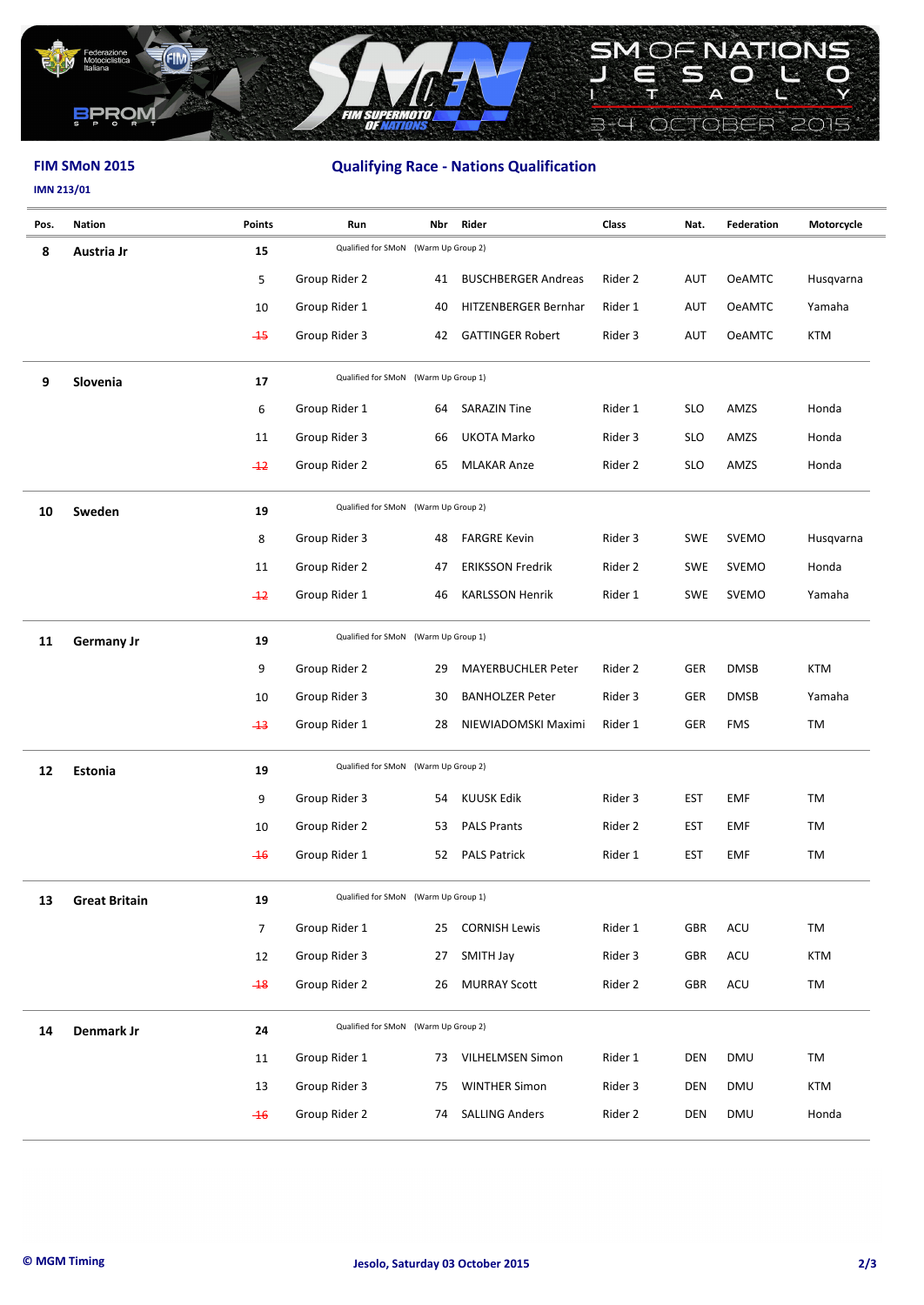

# **FIM SMoN 2015 Qualifying Race - Nations Qualification**

## **IMN 213/01**

| Pos. | <b>Nation</b>        | <b>Points</b>  | Run                                  | Nbr | Rider                      | Class   | Nat.       | Federation    | Motorcycle |
|------|----------------------|----------------|--------------------------------------|-----|----------------------------|---------|------------|---------------|------------|
| 8    | Austria Jr           | 15             | Qualified for SMoN (Warm Up Group 2) |     |                            |         |            |               |            |
|      |                      | 5              | Group Rider 2                        | 41  | <b>BUSCHBERGER Andreas</b> | Rider 2 | <b>AUT</b> | <b>OeAMTC</b> | Husqvarna  |
|      |                      | 10             | Group Rider 1                        | 40  | HITZENBERGER Bernhar       | Rider 1 | AUT        | <b>OeAMTC</b> | Yamaha     |
|      |                      | $-15$          | Group Rider 3                        | 42  | <b>GATTINGER Robert</b>    | Rider 3 | <b>AUT</b> | <b>OeAMTC</b> | <b>KTM</b> |
| 9    | Slovenia             | 17             | Qualified for SMoN (Warm Up Group 1) |     |                            |         |            |               |            |
|      |                      | 6              | Group Rider 1                        | 64  | <b>SARAZIN Tine</b>        | Rider 1 | <b>SLO</b> | AMZS          | Honda      |
|      |                      | 11             | Group Rider 3                        | 66  | UKOTA Marko                | Rider 3 | <b>SLO</b> | AMZS          | Honda      |
|      |                      | $+2$           | Group Rider 2                        | 65  | <b>MLAKAR Anze</b>         | Rider 2 | <b>SLO</b> | AMZS          | Honda      |
| 10   | Sweden               | 19             | Qualified for SMoN (Warm Up Group 2) |     |                            |         |            |               |            |
|      |                      | 8              | Group Rider 3                        | 48  | <b>FARGRE Kevin</b>        | Rider 3 | <b>SWE</b> | <b>SVEMO</b>  | Husqvarna  |
|      |                      | 11             | Group Rider 2                        | 47  | <b>ERIKSSON Fredrik</b>    | Rider 2 | <b>SWE</b> | <b>SVEMO</b>  | Honda      |
|      |                      | $+2$           | Group Rider 1                        | 46  | <b>KARLSSON Henrik</b>     | Rider 1 | <b>SWE</b> | <b>SVEMO</b>  | Yamaha     |
| 11   | <b>Germany Jr</b>    | 19             | Qualified for SMoN (Warm Up Group 1) |     |                            |         |            |               |            |
|      |                      | 9              | Group Rider 2                        | 29  | <b>MAYERBUCHLER Peter</b>  | Rider 2 | <b>GER</b> | <b>DMSB</b>   | <b>KTM</b> |
|      |                      | 10             | Group Rider 3                        | 30  | <b>BANHOLZER Peter</b>     | Rider 3 | GER        | <b>DMSB</b>   | Yamaha     |
|      |                      | $-13$          | Group Rider 1                        | 28  | NIEWIADOMSKI Maximi        | Rider 1 | GER        | <b>FMS</b>    | TM         |
| 12   | Estonia              | 19             | Qualified for SMoN (Warm Up Group 2) |     |                            |         |            |               |            |
|      |                      | 9              | Group Rider 3                        | 54  | <b>KUUSK Edik</b>          | Rider 3 | <b>EST</b> | <b>EMF</b>    | TM         |
|      |                      | 10             | Group Rider 2                        | 53  | <b>PALS Prants</b>         | Rider 2 | <b>EST</b> | <b>EMF</b>    | <b>TM</b>  |
|      |                      | $-16$          | Group Rider 1                        | 52  | <b>PALS Patrick</b>        | Rider 1 | <b>EST</b> | <b>EMF</b>    | TM         |
| 13   | <b>Great Britain</b> | 19             | Qualified for SMoN (Warm Up Group 1) |     |                            |         |            |               |            |
|      |                      | $\overline{7}$ | Group Rider 1                        | 25  | <b>CORNISH Lewis</b>       | Rider 1 | GBR        | ACU           | TM         |
|      |                      | 12             | Group Rider 3                        | 27  | SMITH Jay                  | Rider 3 | GBR        | ACU           | <b>KTM</b> |
|      |                      | $-18$          | Group Rider 2                        | 26  | <b>MURRAY Scott</b>        | Rider 2 | GBR        | ACU           | TM         |
| 14   | Denmark Jr           | 24             | Qualified for SMoN (Warm Up Group 2) |     |                            |         |            |               |            |
|      |                      | 11             | Group Rider 1                        | 73  | <b>VILHELMSEN Simon</b>    | Rider 1 | <b>DEN</b> | <b>DMU</b>    | TM         |
|      |                      | 13             | Group Rider 3                        | 75  | <b>WINTHER Simon</b>       | Rider 3 | <b>DEN</b> | <b>DMU</b>    | KTM        |
|      |                      | $-16$          | Group Rider 2                        | 74  | <b>SALLING Anders</b>      | Rider 2 | <b>DEN</b> | <b>DMU</b>    | Honda      |